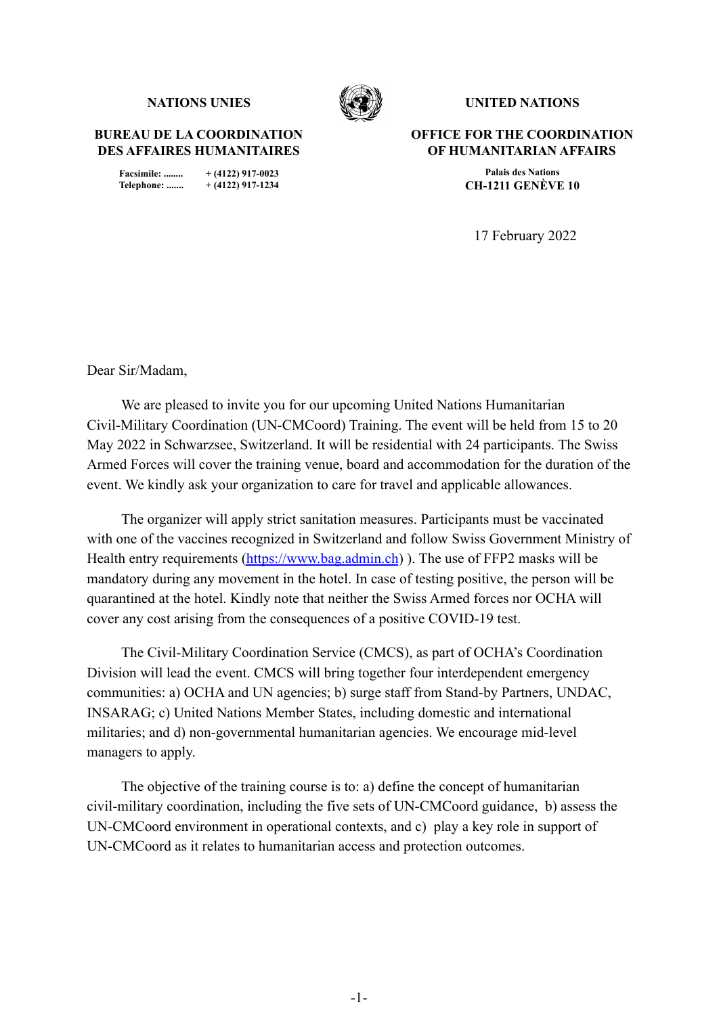**BUREAU DE LA COORDINATION DES AFFAIRES HUMANITAIRES**

> **Facsimile: ........ + (4122) 917-0023 Telephone: ....... + (4122) 917-1234**



**NATIONS** UNIES **WESTING INTEDUCING THE UNITED NATIONS** 

**OFFICE FOR THE COORDINATION OF HUMANITARIAN AFFAIRS**

> **Palais des Nations CH-1211 GENÈVE 10**

17 February 2022

Dear Sir/Madam,

We are pleased to invite you for our upcoming United Nations Humanitarian Civil-Military Coordination (UN-CMCoord) Training. The event will be held from 15 to 20 May 2022 in Schwarzsee, Switzerland. It will be residential with 24 participants. The Swiss Armed Forces will cover the training venue, board and accommodation for the duration of the event. We kindly ask your organization to care for travel and applicable allowances.

The organizer will apply strict sanitation measures. Participants must be vaccinated with one of the vaccines recognized in Switzerland and follow Swiss Government Ministry of Health entry requirements [\(https://www.bag.admin.ch](https://www.bag.admin.ch))). The use of FFP2 masks will be mandatory during any movement in the hotel. In case of testing positive, the person will be quarantined at the hotel. Kindly note that neither the Swiss Armed forces nor OCHA will cover any cost arising from the consequences of a positive COVID-19 test.

The Civil-Military Coordination Service (CMCS), as part of OCHA's Coordination Division will lead the event. CMCS will bring together four interdependent emergency communities: a) OCHA and UN agencies; b) surge staff from Stand-by Partners, UNDAC, INSARAG; c) United Nations Member States, including domestic and international militaries; and d) non-governmental humanitarian agencies. We encourage mid-level managers to apply.

The objective of the training course is to: a) define the concept of humanitarian civil-military coordination, including the five sets of UN-CMCoord guidance, b) assess the UN-CMCoord environment in operational contexts, and c) play a key role in support of UN-CMCoord as it relates to humanitarian access and protection outcomes.